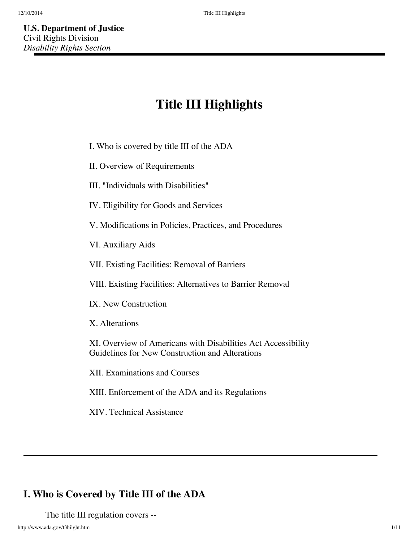# **Title III Highlights**

- I. Who is covered by title III of the ADA
- II. Overview of Requirements
- III. "Individuals with Disabilities"
- IV. Eligibility for Goods and Services
- V. Modifications in Policies, Practices, and Procedures
- VI. Auxiliary Aids
- VII. Existing Facilities: Removal of Barriers
- VIII. Existing Facilities: Alternatives to Barrier Removal
- IX. New Construction
- X. Alterations
- XI. Overview of Americans with Disabilities Act Accessibility Guidelines for New Construction and Alterations
- XII. Examinations and Courses
- XIII. Enforcement of the ADA and its Regulations
- XIV. Technical Assistance

# **I. Who is Covered by Title III of the ADA**

The title III regulation covers --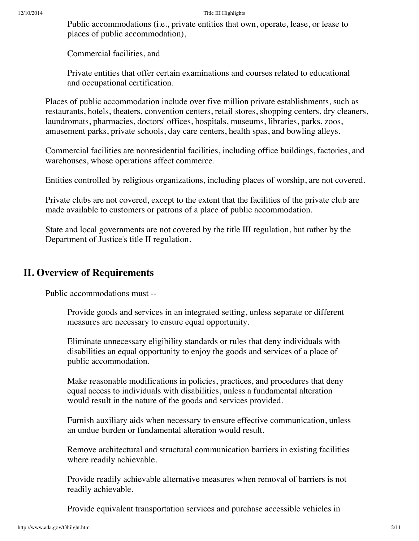Public accommodations (i.e., private entities that own, operate, lease, or lease to places of public accommodation),

Commercial facilities, and

Private entities that offer certain examinations and courses related to educational and occupational certification.

Places of public accommodation include over five million private establishments, such as restaurants, hotels, theaters, convention centers, retail stores, shopping centers, dry cleaners, laundromats, pharmacies, doctors' offices, hospitals, museums, libraries, parks, zoos, amusement parks, private schools, day care centers, health spas, and bowling alleys.

Commercial facilities are nonresidential facilities, including office buildings, factories, and warehouses, whose operations affect commerce.

Entities controlled by religious organizations, including places of worship, are not covered.

Private clubs are not covered, except to the extent that the facilities of the private club are made available to customers or patrons of a place of public accommodation.

State and local governments are not covered by the title III regulation, but rather by the Department of Justice's title II regulation.

### **II. Overview of Requirements**

Public accommodations must --

Provide goods and services in an integrated setting, unless separate or different measures are necessary to ensure equal opportunity.

Eliminate unnecessary eligibility standards or rules that deny individuals with disabilities an equal opportunity to enjoy the goods and services of a place of public accommodation.

Make reasonable modifications in policies, practices, and procedures that deny equal access to individuals with disabilities, unless a fundamental alteration would result in the nature of the goods and services provided.

Furnish auxiliary aids when necessary to ensure effective communication, unless an undue burden or fundamental alteration would result.

Remove architectural and structural communication barriers in existing facilities where readily achievable.

Provide readily achievable alternative measures when removal of barriers is not readily achievable.

Provide equivalent transportation services and purchase accessible vehicles in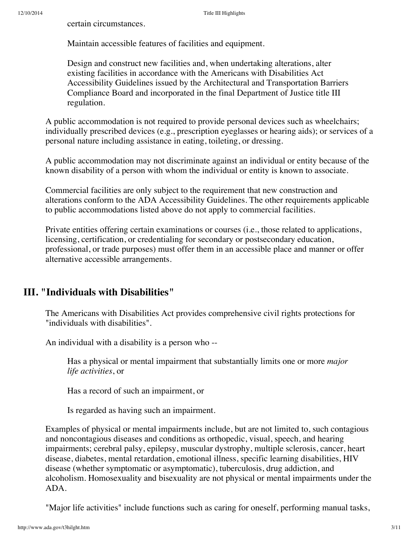certain circumstances.

Maintain accessible features of facilities and equipment.

Design and construct new facilities and, when undertaking alterations, alter existing facilities in accordance with the Americans with Disabilities Act Accessibility Guidelines issued by the Architectural and Transportation Barriers Compliance Board and incorporated in the final Department of Justice title III regulation.

A public accommodation is not required to provide personal devices such as wheelchairs; individually prescribed devices (e.g., prescription eyeglasses or hearing aids); or services of a personal nature including assistance in eating, toileting, or dressing.

A public accommodation may not discriminate against an individual or entity because of the known disability of a person with whom the individual or entity is known to associate.

Commercial facilities are only subject to the requirement that new construction and alterations conform to the ADA Accessibility Guidelines. The other requirements applicable to public accommodations listed above do not apply to commercial facilities.

Private entities offering certain examinations or courses (i.e., those related to applications, licensing, certification, or credentialing for secondary or postsecondary education, professional, or trade purposes) must offer them in an accessible place and manner or offer alternative accessible arrangements.

### **III. "Individuals with Disabilities"**

The Americans with Disabilities Act provides comprehensive civil rights protections for "individuals with disabilities".

An individual with a disability is a person who --

Has a physical or mental impairment that substantially limits one or more *major life activities*, or

Has a record of such an impairment, or

Is regarded as having such an impairment.

Examples of physical or mental impairments include, but are not limited to, such contagious and noncontagious diseases and conditions as orthopedic, visual, speech, and hearing impairments; cerebral palsy, epilepsy, muscular dystrophy, multiple sclerosis, cancer, heart disease, diabetes, mental retardation, emotional illness, specific learning disabilities, HIV disease (whether symptomatic or asymptomatic), tuberculosis, drug addiction, and alcoholism. Homosexuality and bisexuality are not physical or mental impairments under the ADA.

"Major life activities" include functions such as caring for oneself, performing manual tasks,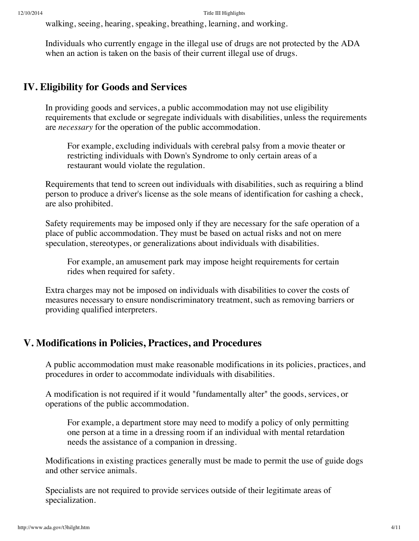walking, seeing, hearing, speaking, breathing, learning, and working.

Individuals who currently engage in the illegal use of drugs are not protected by the ADA when an action is taken on the basis of their current illegal use of drugs.

### **IV. Eligibility for Goods and Services**

In providing goods and services, a public accommodation may not use eligibility requirements that exclude or segregate individuals with disabilities, unless the requirements are *necessary* for the operation of the public accommodation.

For example, excluding individuals with cerebral palsy from a movie theater or restricting individuals with Down's Syndrome to only certain areas of a restaurant would violate the regulation.

Requirements that tend to screen out individuals with disabilities, such as requiring a blind person to produce a driver's license as the sole means of identification for cashing a check, are also prohibited.

Safety requirements may be imposed only if they are necessary for the safe operation of a place of public accommodation. They must be based on actual risks and not on mere speculation, stereotypes, or generalizations about individuals with disabilities.

For example, an amusement park may impose height requirements for certain rides when required for safety.

Extra charges may not be imposed on individuals with disabilities to cover the costs of measures necessary to ensure nondiscriminatory treatment, such as removing barriers or providing qualified interpreters.

# **V. Modifications in Policies, Practices, and Procedures**

A public accommodation must make reasonable modifications in its policies, practices, and procedures in order to accommodate individuals with disabilities.

A modification is not required if it would "fundamentally alter" the goods, services, or operations of the public accommodation.

For example, a department store may need to modify a policy of only permitting one person at a time in a dressing room if an individual with mental retardation needs the assistance of a companion in dressing.

Modifications in existing practices generally must be made to permit the use of guide dogs and other service animals.

Specialists are not required to provide services outside of their legitimate areas of specialization.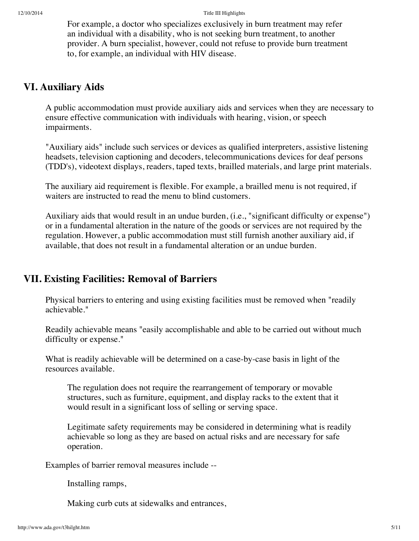For example, a doctor who specializes exclusively in burn treatment may refer an individual with a disability, who is not seeking burn treatment, to another provider. A burn specialist, however, could not refuse to provide burn treatment to, for example, an individual with HIV disease.

### **VI. Auxiliary Aids**

A public accommodation must provide auxiliary aids and services when they are necessary to ensure effective communication with individuals with hearing, vision, or speech impairments.

"Auxiliary aids" include such services or devices as qualified interpreters, assistive listening headsets, television captioning and decoders, telecommunications devices for deaf persons (TDD's), videotext displays, readers, taped texts, brailled materials, and large print materials.

The auxiliary aid requirement is flexible. For example, a brailled menu is not required, if waiters are instructed to read the menu to blind customers.

Auxiliary aids that would result in an undue burden, (i.e., "significant difficulty or expense") or in a fundamental alteration in the nature of the goods or services are not required by the regulation. However, a public accommodation must still furnish another auxiliary aid, if available, that does not result in a fundamental alteration or an undue burden.

### **VII. Existing Facilities: Removal of Barriers**

Physical barriers to entering and using existing facilities must be removed when "readily achievable."

Readily achievable means "easily accomplishable and able to be carried out without much difficulty or expense."

What is readily achievable will be determined on a case-by-case basis in light of the resources available.

The regulation does not require the rearrangement of temporary or movable structures, such as furniture, equipment, and display racks to the extent that it would result in a significant loss of selling or serving space.

Legitimate safety requirements may be considered in determining what is readily achievable so long as they are based on actual risks and are necessary for safe operation.

Examples of barrier removal measures include --

Installing ramps,

Making curb cuts at sidewalks and entrances,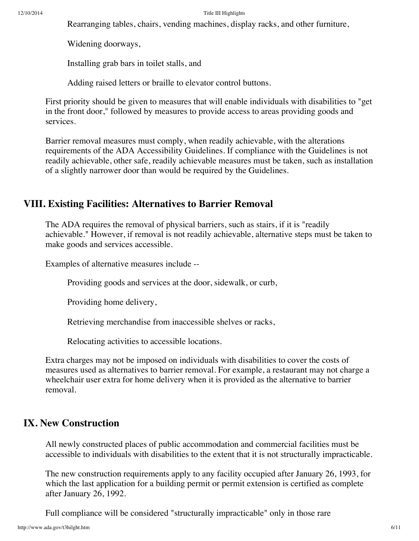Rearranging tables, chairs, vending machines, display racks, and other furniture,

Widening doorways,

Installing grab bars in toilet stalls, and

Adding raised letters or braille to elevator control buttons.

First priority should be given to measures that will enable individuals with disabilities to "get in the front door," followed by measures to provide access to areas providing goods and services.

Barrier removal measures must comply, when readily achievable, with the alterations requirements of the ADA Accessibility Guidelines. If compliance with the Guidelines is not readily achievable, other safe, readily achievable measures must be taken, such as installation of a slightly narrower door than would be required by the Guidelines.

### **VIII. Existing Facilities: Alternatives to Barrier Removal**

The ADA requires the removal of physical barriers, such as stairs, if it is "readily achievable." However, if removal is not readily achievable, alternative steps must be taken to make goods and services accessible.

Examples of alternative measures include --

Providing goods and services at the door, sidewalk, or curb,

Providing home delivery,

Retrieving merchandise from inaccessible shelves or racks,

Relocating activities to accessible locations.

Extra charges may not be imposed on individuals with disabilities to cover the costs of measures used as alternatives to barrier removal. For example, a restaurant may not charge a wheelchair user extra for home delivery when it is provided as the alternative to barrier removal.

### **IX. New Construction**

All newly constructed places of public accommodation and commercial facilities must be accessible to individuals with disabilities to the extent that it is not structurally impracticable.

The new construction requirements apply to any facility occupied after January 26, 1993, for which the last application for a building permit or permit extension is certified as complete after January 26, 1992.

Full compliance will be considered "structurally impracticable" only in those rare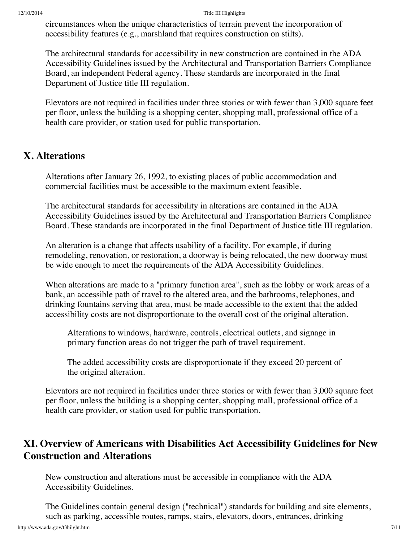circumstances when the unique characteristics of terrain prevent the incorporation of accessibility features (e.g., marshland that requires construction on stilts).

The architectural standards for accessibility in new construction are contained in the ADA Accessibility Guidelines issued by the Architectural and Transportation Barriers Compliance Board, an independent Federal agency. These standards are incorporated in the final Department of Justice title III regulation.

Elevators are not required in facilities under three stories or with fewer than 3,000 square feet per floor, unless the building is a shopping center, shopping mall, professional office of a health care provider, or station used for public transportation.

### **X. Alterations**

Alterations after January 26, 1992, to existing places of public accommodation and commercial facilities must be accessible to the maximum extent feasible.

The architectural standards for accessibility in alterations are contained in the ADA Accessibility Guidelines issued by the Architectural and Transportation Barriers Compliance Board. These standards are incorporated in the final Department of Justice title III regulation.

An alteration is a change that affects usability of a facility. For example, if during remodeling, renovation, or restoration, a doorway is being relocated, the new doorway must be wide enough to meet the requirements of the ADA Accessibility Guidelines.

When alterations are made to a "primary function area", such as the lobby or work areas of a bank, an accessible path of travel to the altered area, and the bathrooms, telephones, and drinking fountains serving that area, must be made accessible to the extent that the added accessibility costs are not disproportionate to the overall cost of the original alteration.

Alterations to windows, hardware, controls, electrical outlets, and signage in primary function areas do not trigger the path of travel requirement.

The added accessibility costs are disproportionate if they exceed 20 percent of the original alteration.

Elevators are not required in facilities under three stories or with fewer than 3,000 square feet per floor, unless the building is a shopping center, shopping mall, professional office of a health care provider, or station used for public transportation.

# **XI. Overview of Americans with Disabilities Act Accessibility Guidelines for New Construction and Alterations**

New construction and alterations must be accessible in compliance with the ADA Accessibility Guidelines.

The Guidelines contain general design ("technical") standards for building and site elements, such as parking, accessible routes, ramps, stairs, elevators, doors, entrances, drinking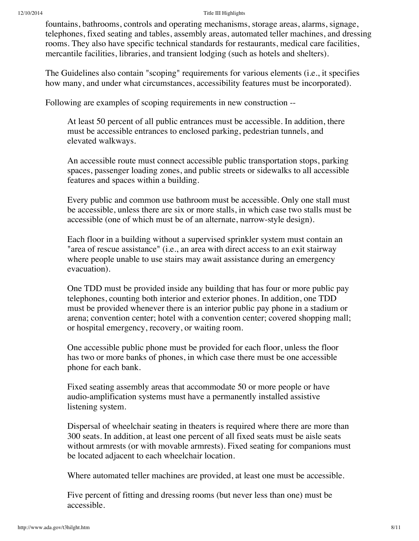fountains, bathrooms, controls and operating mechanisms, storage areas, alarms, signage, telephones, fixed seating and tables, assembly areas, automated teller machines, and dressing rooms. They also have specific technical standards for restaurants, medical care facilities, mercantile facilities, libraries, and transient lodging (such as hotels and shelters).

The Guidelines also contain "scoping" requirements for various elements (i.e., it specifies how many, and under what circumstances, accessibility features must be incorporated).

Following are examples of scoping requirements in new construction --

At least 50 percent of all public entrances must be accessible. In addition, there must be accessible entrances to enclosed parking, pedestrian tunnels, and elevated walkways.

An accessible route must connect accessible public transportation stops, parking spaces, passenger loading zones, and public streets or sidewalks to all accessible features and spaces within a building.

Every public and common use bathroom must be accessible. Only one stall must be accessible, unless there are six or more stalls, in which case two stalls must be accessible (one of which must be of an alternate, narrow-style design).

Each floor in a building without a supervised sprinkler system must contain an "area of rescue assistance" (i.e., an area with direct access to an exit stairway where people unable to use stairs may await assistance during an emergency evacuation).

One TDD must be provided inside any building that has four or more public pay telephones, counting both interior and exterior phones. In addition, one TDD must be provided whenever there is an interior public pay phone in a stadium or arena; convention center; hotel with a convention center; covered shopping mall; or hospital emergency, recovery, or waiting room.

One accessible public phone must be provided for each floor, unless the floor has two or more banks of phones, in which case there must be one accessible phone for each bank.

Fixed seating assembly areas that accommodate 50 or more people or have audio-amplification systems must have a permanently installed assistive listening system.

Dispersal of wheelchair seating in theaters is required where there are more than 300 seats. In addition, at least one percent of all fixed seats must be aisle seats without armrests (or with movable armrests). Fixed seating for companions must be located adjacent to each wheelchair location.

Where automated teller machines are provided, at least one must be accessible.

Five percent of fitting and dressing rooms (but never less than one) must be accessible.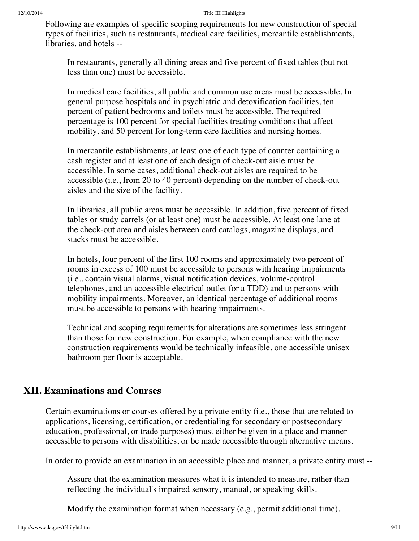Following are examples of specific scoping requirements for new construction of special types of facilities, such as restaurants, medical care facilities, mercantile establishments, libraries, and hotels --

In restaurants, generally all dining areas and five percent of fixed tables (but not less than one) must be accessible.

In medical care facilities, all public and common use areas must be accessible. In general purpose hospitals and in psychiatric and detoxification facilities, ten percent of patient bedrooms and toilets must be accessible. The required percentage is 100 percent for special facilities treating conditions that affect mobility, and 50 percent for long-term care facilities and nursing homes.

In mercantile establishments, at least one of each type of counter containing a cash register and at least one of each design of check-out aisle must be accessible. In some cases, additional check-out aisles are required to be accessible (i.e., from 20 to 40 percent) depending on the number of check-out aisles and the size of the facility.

In libraries, all public areas must be accessible. In addition, five percent of fixed tables or study carrels (or at least one) must be accessible. At least one lane at the check-out area and aisles between card catalogs, magazine displays, and stacks must be accessible.

In hotels, four percent of the first 100 rooms and approximately two percent of rooms in excess of 100 must be accessible to persons with hearing impairments (i.e., contain visual alarms, visual notification devices, volume-control telephones, and an accessible electrical outlet for a TDD) and to persons with mobility impairments. Moreover, an identical percentage of additional rooms must be accessible to persons with hearing impairments.

Technical and scoping requirements for alterations are sometimes less stringent than those for new construction. For example, when compliance with the new construction requirements would be technically infeasible, one accessible unisex bathroom per floor is acceptable.

### **XII. Examinations and Courses**

Certain examinations or courses offered by a private entity (i.e., those that are related to applications, licensing, certification, or credentialing for secondary or postsecondary education, professional, or trade purposes) must either be given in a place and manner accessible to persons with disabilities, or be made accessible through alternative means.

In order to provide an examination in an accessible place and manner, a private entity must --

Assure that the examination measures what it is intended to measure, rather than reflecting the individual's impaired sensory, manual, or speaking skills.

Modify the examination format when necessary (e.g., permit additional time).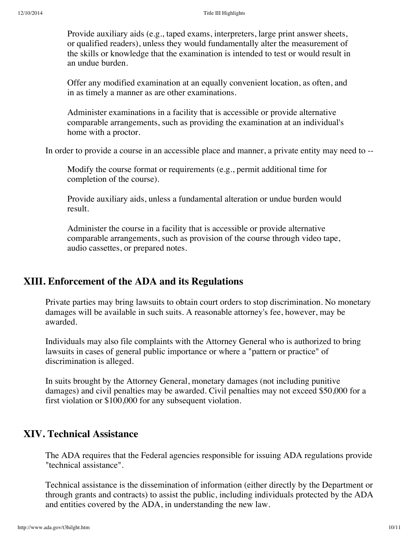Provide auxiliary aids (e.g., taped exams, interpreters, large print answer sheets, or qualified readers), unless they would fundamentally alter the measurement of the skills or knowledge that the examination is intended to test or would result in an undue burden.

Offer any modified examination at an equally convenient location, as often, and in as timely a manner as are other examinations.

Administer examinations in a facility that is accessible or provide alternative comparable arrangements, such as providing the examination at an individual's home with a proctor.

In order to provide a course in an accessible place and manner, a private entity may need to --

Modify the course format or requirements (e.g., permit additional time for completion of the course).

Provide auxiliary aids, unless a fundamental alteration or undue burden would result.

Administer the course in a facility that is accessible or provide alternative comparable arrangements, such as provision of the course through video tape, audio cassettes, or prepared notes.

### **XIII. Enforcement of the ADA and its Regulations**

Private parties may bring lawsuits to obtain court orders to stop discrimination. No monetary damages will be available in such suits. A reasonable attorney's fee, however, may be awarded.

Individuals may also file complaints with the Attorney General who is authorized to bring lawsuits in cases of general public importance or where a "pattern or practice" of discrimination is alleged.

In suits brought by the Attorney General, monetary damages (not including punitive damages) and civil penalties may be awarded. Civil penalties may not exceed \$50,000 for a first violation or \$100,000 for any subsequent violation.

### **XIV. Technical Assistance**

The ADA requires that the Federal agencies responsible for issuing ADA regulations provide "technical assistance".

Technical assistance is the dissemination of information (either directly by the Department or through grants and contracts) to assist the public, including individuals protected by the ADA and entities covered by the ADA, in understanding the new law.